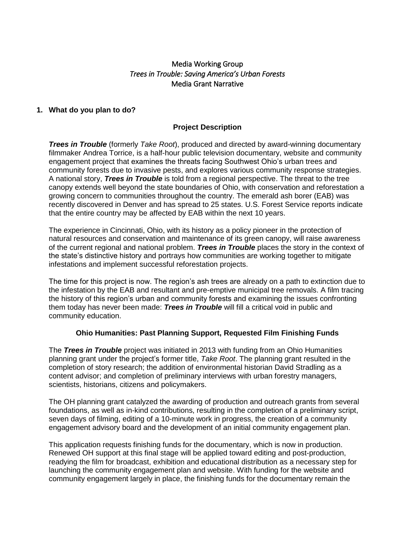# Media Working Group *Trees in Trouble: Saving America's Urban Forests*  Media Grant Narrative

### **1. What do you plan to do?**

### **Project Description**

*Trees in Trouble* (formerly *Take Root*), produced and directed by award-winning documentary filmmaker Andrea Torrice, is a half-hour public television documentary, website and community engagement project that examines the threats facing Southwest Ohio's urban trees and community forests due to invasive pests, and explores various community response strategies. A national story, *Trees in Trouble* is told from a regional perspective. The threat to the tree canopy extends well beyond the state boundaries of Ohio, with conservation and reforestation a growing concern to communities throughout the country. The emerald ash borer (EAB) was recently discovered in Denver and has spread to 25 states. U.S. Forest Service reports indicate that the entire country may be affected by EAB within the next 10 years.

The experience in Cincinnati, Ohio, with its history as a policy pioneer in the protection of natural resources and conservation and maintenance of its green canopy, will raise awareness of the current regional and national problem. *Trees in Trouble* places the story in the context of the state's distinctive history and portrays how communities are working together to mitigate infestations and implement successful reforestation projects.

The time for this project is now. The region's ash trees are already on a path to extinction due to the infestation by the EAB and resultant and pre-emptive municipal tree removals. A film tracing the history of this region's urban and community forests and examining the issues confronting them today has never been made: *Trees in Trouble* will fill a critical void in public and community education.

#### **Ohio Humanities: Past Planning Support, Requested Film Finishing Funds**

The *Trees in Trouble* project was initiated in 2013 with funding from an Ohio Humanities planning grant under the project's former title, *Take Root*. The planning grant resulted in the completion of story research; the addition of environmental historian David Stradling as a content advisor; and completion of preliminary interviews with urban forestry managers, scientists, historians, citizens and policymakers.

The OH planning grant catalyzed the awarding of production and outreach grants from several foundations, as well as in-kind contributions, resulting in the completion of a preliminary script, seven days of filming, editing of a 10-minute work in progress, the creation of a community engagement advisory board and the development of an initial community engagement plan.

This application requests finishing funds for the documentary, which is now in production. Renewed OH support at this final stage will be applied toward editing and post-production, readying the film for broadcast, exhibition and educational distribution as a necessary step for launching the community engagement plan and website. With funding for the website and community engagement largely in place, the finishing funds for the documentary remain the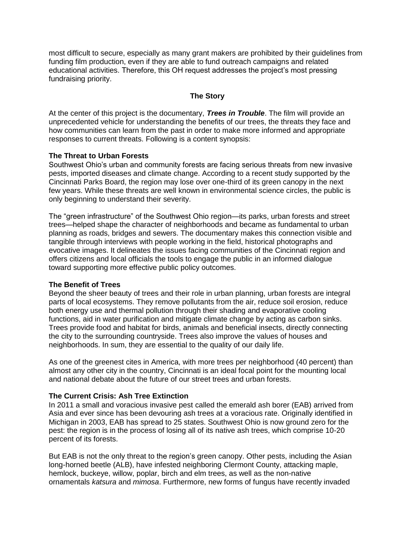most difficult to secure, especially as many grant makers are prohibited by their guidelines from funding film production, even if they are able to fund outreach campaigns and related educational activities. Therefore, this OH request addresses the project's most pressing fundraising priority.

#### **The Story**

At the center of this project is the documentary, *Trees in Trouble*. The film will provide an unprecedented vehicle for understanding the benefits of our trees, the threats they face and how communities can learn from the past in order to make more informed and appropriate responses to current threats. Following is a content synopsis:

#### **The Threat to Urban Forests**

Southwest Ohio's urban and community forests are facing serious threats from new invasive pests, imported diseases and climate change. According to a recent study supported by the Cincinnati Parks Board, the region may lose over one-third of its green canopy in the next few years. While these threats are well known in environmental science circles, the public is only beginning to understand their severity.

The "green infrastructure" of the Southwest Ohio region—its parks, urban forests and street trees—helped shape the character of neighborhoods and became as fundamental to urban planning as roads, bridges and sewers. The documentary makes this connection visible and tangible through interviews with people working in the field, historical photographs and evocative images. It delineates the issues facing communities of the Cincinnati region and offers citizens and local officials the tools to engage the public in an informed dialogue toward supporting more effective public policy outcomes.

#### **The Benefit of Trees**

Beyond the sheer beauty of trees and their role in urban planning, urban forests are integral parts of local ecosystems. They remove pollutants from the air, reduce soil erosion, reduce both energy use and thermal pollution through their shading and evaporative cooling functions, aid in water purification and mitigate climate change by acting as carbon sinks. Trees provide food and habitat for birds, animals and beneficial insects, directly connecting the city to the surrounding countryside. Trees also improve the values of houses and neighborhoods. In sum, they are essential to the quality of our daily life.

As one of the greenest cites in America, with more trees per neighborhood (40 percent) than almost any other city in the country, Cincinnati is an ideal focal point for the mounting local and national debate about the future of our street trees and urban forests.

### **The Current Crisis: Ash Tree Extinction**

In 2011 a small and voracious invasive pest called the emerald ash borer (EAB) arrived from Asia and ever since has been devouring ash trees at a voracious rate. Originally identified in Michigan in 2003, EAB has spread to 25 states. Southwest Ohio is now ground zero for the pest: the region is in the process of losing all of its native ash trees, which comprise 10-20 percent of its forests.

But EAB is not the only threat to the region's green canopy. Other pests, including the Asian long-horned beetle (ALB), have infested neighboring Clermont County, attacking maple, hemlock, buckeye, willow, poplar, birch and elm trees, as well as the non-native ornamentals *katsura* and *mimosa*. Furthermore, new forms of fungus have recently invaded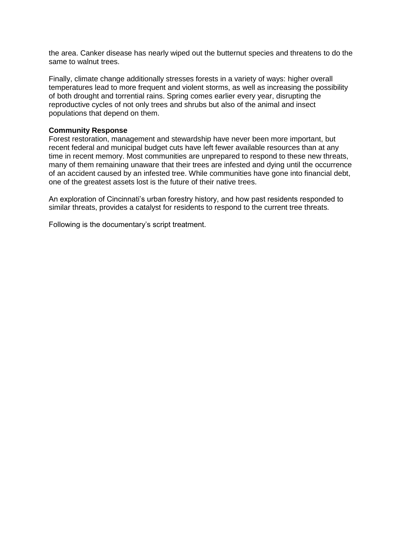the area. Canker disease has nearly wiped out the butternut species and threatens to do the same to walnut trees.

Finally, climate change additionally stresses forests in a variety of ways: higher overall temperatures lead to more frequent and violent storms, as well as increasing the possibility of both drought and torrential rains. Spring comes earlier every year, disrupting the reproductive cycles of not only trees and shrubs but also of the animal and insect populations that depend on them.

#### **Community Response**

Forest restoration, management and stewardship have never been more important, but recent federal and municipal budget cuts have left fewer available resources than at any time in recent memory. Most communities are unprepared to respond to these new threats, many of them remaining unaware that their trees are infested and dying until the occurrence of an accident caused by an infested tree. While communities have gone into financial debt, one of the greatest assets lost is the future of their native trees.

An exploration of Cincinnati's urban forestry history, and how past residents responded to similar threats, provides a catalyst for residents to respond to the current tree threats.

Following is the documentary's script treatment.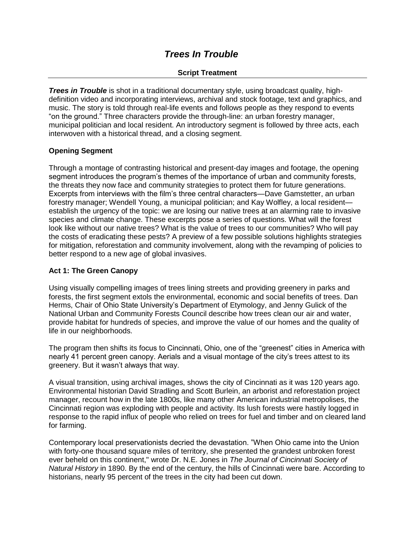# *Trees In Trouble*

# **Script Treatment**

*Trees in Trouble* is shot in a traditional documentary style, using broadcast quality, highdefinition video and incorporating interviews, archival and stock footage, text and graphics, and music. The story is told through real-life events and follows people as they respond to events "on the ground." Three characters provide the through-line: an urban forestry manager, municipal politician and local resident. An introductory segment is followed by three acts, each interwoven with a historical thread, and a closing segment.

### **Opening Segment**

Through a montage of contrasting historical and present-day images and footage, the opening segment introduces the program's themes of the importance of urban and community forests, the threats they now face and community strategies to protect them for future generations. Excerpts from interviews with the film's three central characters—Dave Gamstetter, an urban forestry manager; Wendell Young, a municipal politician; and Kay Wolfley, a local resident establish the urgency of the topic: we are losing our native trees at an alarming rate to invasive species and climate change. These excerpts pose a series of questions. What will the forest look like without our native trees? What is the value of trees to our communities? Who will pay the costs of eradicating these pests? A preview of a few possible solutions highlights strategies for mitigation, reforestation and community involvement, along with the revamping of policies to better respond to a new age of global invasives.

### **Act 1: The Green Canopy**

Using visually compelling images of trees lining streets and providing greenery in parks and forests, the first segment extols the environmental, economic and social benefits of trees. Dan Herms, Chair of Ohio State University's Department of Etymology, and Jenny Gulick of the National Urban and Community Forests Council describe how trees clean our air and water, provide habitat for hundreds of species, and improve the value of our homes and the quality of life in our neighborhoods.

The program then shifts its focus to Cincinnati, Ohio, one of the "greenest" cities in America with nearly 41 percent green canopy. Aerials and a visual montage of the city's trees attest to its greenery. But it wasn't always that way.

A visual transition, using archival images, shows the city of Cincinnati as it was 120 years ago. Environmental historian David Stradling and Scott Burlein, an arborist and reforestation project manager, recount how in the late 1800s, like many other American industrial metropolises, the Cincinnati region was exploding with people and activity. Its lush forests were hastily logged in response to the rapid influx of people who relied on trees for fuel and timber and on cleared land for farming.

Contemporary local preservationists decried the devastation. "When Ohio came into the Union with forty-one thousand square miles of territory, she presented the grandest unbroken forest ever beheld on this continent," wrote Dr. N.E. Jones in *The Journal of Cincinnati Society of Natural History* in 1890. By the end of the century, the hills of Cincinnati were bare. According to historians, nearly 95 percent of the trees in the city had been cut down.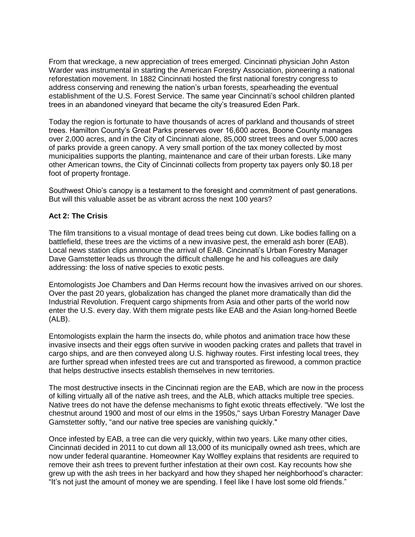From that wreckage, a new appreciation of trees emerged. Cincinnati physician John Aston Warder was instrumental in starting the American Forestry Association, pioneering a national reforestation movement. In 1882 Cincinnati hosted the first national forestry congress to address conserving and renewing the nation's urban forests, spearheading the eventual establishment of the U.S. Forest Service. The same year Cincinnati's school children planted trees in an abandoned vineyard that became the city's treasured Eden Park.

Today the region is fortunate to have thousands of acres of parkland and thousands of street trees. Hamilton County's Great Parks preserves over 16,600 acres, Boone County manages over 2,000 acres, and in the City of Cincinnati alone, 85,000 street trees and over 5,000 acres of parks provide a green canopy. A very small portion of the tax money collected by most municipalities supports the planting, maintenance and care of their urban forests. Like many other American towns, the City of Cincinnati collects from property tax payers only \$0.18 per foot of property frontage.

Southwest Ohio's canopy is a testament to the foresight and commitment of past generations. But will this valuable asset be as vibrant across the next 100 years?

### **Act 2: The Crisis**

The film transitions to a visual montage of dead trees being cut down. Like bodies falling on a battlefield, these trees are the victims of a new invasive pest, the emerald ash borer (EAB). Local news station clips announce the arrival of EAB. Cincinnati's Urban Forestry Manager Dave Gamstetter leads us through the difficult challenge he and his colleagues are daily addressing: the loss of native species to exotic pests.

Entomologists Joe Chambers and Dan Herms recount how the invasives arrived on our shores. Over the past 20 years, globalization has changed the planet more dramatically than did the Industrial Revolution. Frequent cargo shipments from Asia and other parts of the world now enter the U.S. every day. With them migrate pests like EAB and the Asian long-horned Beetle (ALB).

Entomologists explain the harm the insects do, while photos and animation trace how these invasive insects and their eggs often survive in wooden packing crates and pallets that travel in cargo ships, and are then conveyed along U.S. highway routes. First infesting local trees, they are further spread when infested trees are cut and transported as firewood, a common practice that helps destructive insects establish themselves in new territories.

The most destructive insects in the Cincinnati region are the EAB, which are now in the process of killing virtually all of the native ash trees, and the ALB, which attacks multiple tree species. Native trees do not have the defense mechanisms to fight exotic threats effectively. "We lost the chestnut around 1900 and most of our elms in the 1950s," says Urban Forestry Manager Dave Gamstetter softly, "and our native tree species are vanishing quickly."

Once infested by EAB, a tree can die very quickly, within two years. Like many other cities, Cincinnati decided in 2011 to cut down all 13,000 of its municipally owned ash trees, which are now under federal quarantine. Homeowner Kay Wolfley explains that residents are required to remove their ash trees to prevent further infestation at their own cost. Kay recounts how she grew up with the ash trees in her backyard and how they shaped her neighborhood's character: "It's not just the amount of money we are spending. I feel like I have lost some old friends."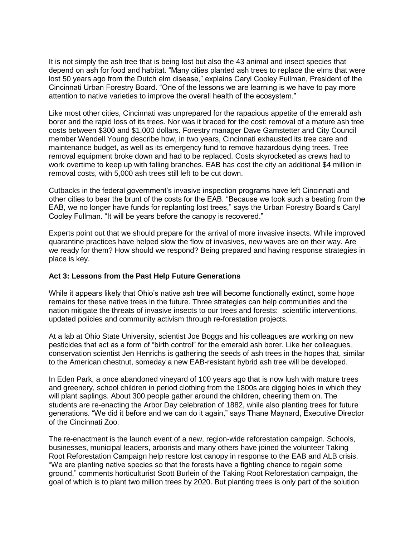It is not simply the ash tree that is being lost but also the 43 animal and insect species that depend on ash for food and habitat. "Many cities planted ash trees to replace the elms that were lost 50 years ago from the Dutch elm disease," explains Caryl Cooley Fullman, President of the Cincinnati Urban Forestry Board. "One of the lessons we are learning is we have to pay more attention to native varieties to improve the overall health of the ecosystem."

Like most other cities, Cincinnati was unprepared for the rapacious appetite of the emerald ash borer and the rapid loss of its trees. Nor was it braced for the cost: removal of a mature ash tree costs between \$300 and \$1,000 dollars. Forestry manager Dave Gamstetter and City Council member Wendell Young describe how, in two years, Cincinnati exhausted its tree care and maintenance budget, as well as its emergency fund to remove hazardous dying trees. Tree removal equipment broke down and had to be replaced. Costs skyrocketed as crews had to work overtime to keep up with falling branches. EAB has cost the city an additional \$4 million in removal costs, with 5,000 ash trees still left to be cut down.

Cutbacks in the federal government's invasive inspection programs have left Cincinnati and other cities to bear the brunt of the costs for the EAB. "Because we took such a beating from the EAB, we no longer have funds for replanting lost trees," says the Urban Forestry Board's Caryl Cooley Fullman. "It will be years before the canopy is recovered."

Experts point out that we should prepare for the arrival of more invasive insects. While improved quarantine practices have helped slow the flow of invasives, new waves are on their way. Are we ready for them? How should we respond? Being prepared and having response strategies in place is key.

### **Act 3: Lessons from the Past Help Future Generations**

While it appears likely that Ohio's native ash tree will become functionally extinct, some hope remains for these native trees in the future. Three strategies can help communities and the nation mitigate the threats of invasive insects to our trees and forests: scientific interventions, updated policies and community activism through re-forestation projects.

At a lab at Ohio State University, scientist Joe Boggs and his colleagues are working on new pesticides that act as a form of "birth control" for the emerald ash borer. Like her colleagues, conservation scientist Jen Henrichs is gathering the seeds of ash trees in the hopes that, similar to the American chestnut, someday a new EAB-resistant hybrid ash tree will be developed.

In Eden Park, a once abandoned vineyard of 100 years ago that is now lush with mature trees and greenery, school children in period clothing from the 1800s are digging holes in which they will plant saplings. About 300 people gather around the children, cheering them on. The students are re-enacting the Arbor Day celebration of 1882, while also planting trees for future generations. "We did it before and we can do it again," says Thane Maynard, Executive Director of the Cincinnati Zoo.

The re-enactment is the launch event of a new, region-wide reforestation campaign. Schools, businesses, municipal leaders, arborists and many others have joined the volunteer Taking Root Reforestation Campaign help restore lost canopy in response to the EAB and ALB crisis. "We are planting native species so that the forests have a fighting chance to regain some ground," comments horticulturist Scott Burlein of the Taking Root Reforestation campaign, the goal of which is to plant two million trees by 2020. But planting trees is only part of the solution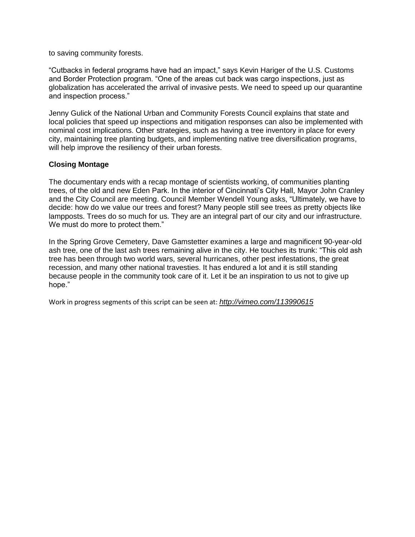to saving community forests.

"Cutbacks in federal programs have had an impact," says Kevin Hariger of the U.S. Customs and Border Protection program. "One of the areas cut back was cargo inspections, just as globalization has accelerated the arrival of invasive pests. We need to speed up our quarantine and inspection process."

Jenny Gulick of the National Urban and Community Forests Council explains that state and local policies that speed up inspections and mitigation responses can also be implemented with nominal cost implications. Other strategies, such as having a tree inventory in place for every city, maintaining tree planting budgets, and implementing native tree diversification programs, will help improve the resiliency of their urban forests.

### **Closing Montage**

The documentary ends with a recap montage of scientists working, of communities planting trees, of the old and new Eden Park. In the interior of Cincinnati's City Hall, Mayor John Cranley and the City Council are meeting. Council Member Wendell Young asks, "Ultimately, we have to decide: how do we value our trees and forest? Many people still see trees as pretty objects like lampposts. Trees do so much for us. They are an integral part of our city and our infrastructure. We must do more to protect them."

In the Spring Grove Cemetery, Dave Gamstetter examines a large and magnificent 90-year-old ash tree, one of the last ash trees remaining alive in the city. He touches its trunk: "This old ash tree has been through two world wars, several hurricanes, other pest infestations, the great recession, and many other national travesties. It has endured a lot and it is still standing because people in the community took care of it. Let it be an inspiration to us not to give up hope."

Work in progress segments of this script can be seen at: *<http://vimeo.com/113990615>*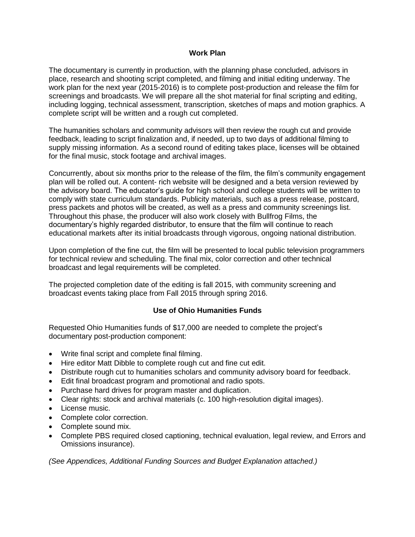#### **Work Plan**

The documentary is currently in production, with the planning phase concluded, advisors in place, research and shooting script completed, and filming and initial editing underway. The work plan for the next year (2015-2016) is to complete post-production and release the film for screenings and broadcasts. We will prepare all the shot material for final scripting and editing, including logging, technical assessment, transcription, sketches of maps and motion graphics. A complete script will be written and a rough cut completed.

The humanities scholars and community advisors will then review the rough cut and provide feedback, leading to script finalization and, if needed, up to two days of additional filming to supply missing information. As a second round of editing takes place, licenses will be obtained for the final music, stock footage and archival images.

Concurrently, about six months prior to the release of the film, the film's community engagement plan will be rolled out. A content- rich website will be designed and a beta version reviewed by the advisory board. The educator's guide for high school and college students will be written to comply with state curriculum standards. Publicity materials, such as a press release, postcard, press packets and photos will be created, as well as a press and community screenings list. Throughout this phase, the producer will also work closely with Bullfrog Films, the documentary's highly regarded distributor, to ensure that the film will continue to reach educational markets after its initial broadcasts through vigorous, ongoing national distribution.

Upon completion of the fine cut, the film will be presented to local public television programmers for technical review and scheduling. The final mix, color correction and other technical broadcast and legal requirements will be completed.

The projected completion date of the editing is fall 2015, with community screening and broadcast events taking place from Fall 2015 through spring 2016.

### **Use of Ohio Humanities Funds**

Requested Ohio Humanities funds of \$17,000 are needed to complete the project's documentary post-production component:

- Write final script and complete final filming.
- Hire editor Matt Dibble to complete rough cut and fine cut edit.
- Distribute rough cut to humanities scholars and community advisory board for feedback.
- Edit final broadcast program and promotional and radio spots.
- Purchase hard drives for program master and duplication.
- Clear rights: stock and archival materials (c. 100 high-resolution digital images).
- License music.
- Complete color correction.
- Complete sound mix.
- Complete PBS required closed captioning, technical evaluation, legal review, and Errors and Omissions insurance).

*(See Appendices, Additional Funding Sources and Budget Explanation attached.)*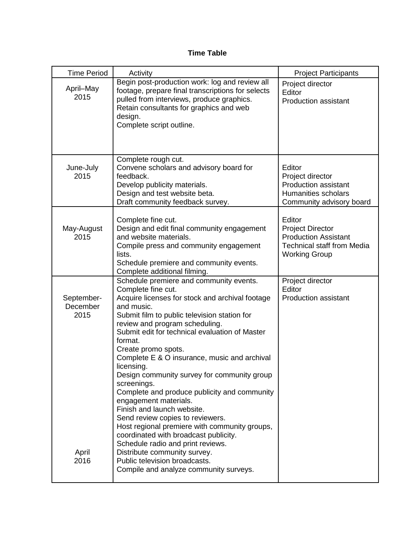# **Time Table**

| <b>Time Period</b>             | Activity                                                                                                                                                                                                                                                                                                                                                                                                                                                                                                                                                                                                                                                              | <b>Project Participants</b>                                                                                                   |
|--------------------------------|-----------------------------------------------------------------------------------------------------------------------------------------------------------------------------------------------------------------------------------------------------------------------------------------------------------------------------------------------------------------------------------------------------------------------------------------------------------------------------------------------------------------------------------------------------------------------------------------------------------------------------------------------------------------------|-------------------------------------------------------------------------------------------------------------------------------|
| April-May<br>2015              | Begin post-production work: log and review all<br>footage, prepare final transcriptions for selects<br>pulled from interviews, produce graphics.<br>Retain consultants for graphics and web<br>design.<br>Complete script outline.                                                                                                                                                                                                                                                                                                                                                                                                                                    | Project director<br>Editor<br><b>Production assistant</b>                                                                     |
| June-July<br>2015              | Complete rough cut.<br>Convene scholars and advisory board for<br>feedback.<br>Develop publicity materials.<br>Design and test website beta.<br>Draft community feedback survey.                                                                                                                                                                                                                                                                                                                                                                                                                                                                                      | Editor<br>Project director<br><b>Production assistant</b><br>Humanities scholars<br>Community advisory board                  |
| May-August<br>2015             | Complete fine cut.<br>Design and edit final community engagement<br>and website materials.<br>Compile press and community engagement<br>lists.<br>Schedule premiere and community events.<br>Complete additional filming.                                                                                                                                                                                                                                                                                                                                                                                                                                             | Editor<br><b>Project Director</b><br><b>Production Assistant</b><br><b>Technical staff from Media</b><br><b>Working Group</b> |
| September-<br>December<br>2015 | Schedule premiere and community events.<br>Complete fine cut.<br>Acquire licenses for stock and archival footage<br>and music.<br>Submit film to public television station for<br>review and program scheduling.<br>Submit edit for technical evaluation of Master<br>format.<br>Create promo spots.<br>Complete E & O insurance, music and archival<br>licensing.<br>Design community survey for community group<br>screenings.<br>Complete and produce publicity and community<br>engagement materials.<br>Finish and launch website.<br>Send review copies to reviewers.<br>Host regional premiere with community groups,<br>coordinated with broadcast publicity. | Project director<br>Editor<br><b>Production assistant</b>                                                                     |
| April<br>2016                  | Schedule radio and print reviews.<br>Distribute community survey.<br>Public television broadcasts.<br>Compile and analyze community surveys.                                                                                                                                                                                                                                                                                                                                                                                                                                                                                                                          |                                                                                                                               |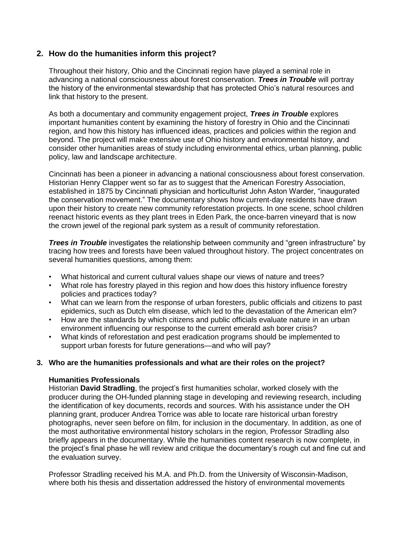# **2. How do the humanities inform this project?**

Throughout their history, Ohio and the Cincinnati region have played a seminal role in advancing a national consciousness about forest conservation. *Trees in Trouble* will portray the history of the environmental stewardship that has protected Ohio's natural resources and link that history to the present.

As both a documentary and community engagement project, *Trees in Trouble* explores important humanities content by examining the history of forestry in Ohio and the Cincinnati region, and how this history has influenced ideas, practices and policies within the region and beyond. The project will make extensive use of Ohio history and environmental history, and consider other humanities areas of study including environmental ethics, urban planning, public policy, law and landscape architecture.

Cincinnati has been a pioneer in advancing a national consciousness about forest conservation. Historian Henry Clapper went so far as to suggest that the American Forestry Association, established in 1875 by Cincinnati physician and horticulturist John Aston Warder, "inaugurated the conservation movement." The documentary shows how current-day residents have drawn upon their history to create new community reforestation projects. In one scene, school children reenact historic events as they plant trees in Eden Park, the once-barren vineyard that is now the crown jewel of the regional park system as a result of community reforestation.

**Trees in Trouble** investigates the relationship between community and "green infrastructure" by tracing how trees and forests have been valued throughout history. The project concentrates on several humanities questions, among them:

- What historical and current cultural values shape our views of nature and trees?
- What role has forestry played in this region and how does this history influence forestry policies and practices today?
- What can we learn from the response of urban foresters, public officials and citizens to past epidemics, such as Dutch elm disease, which led to the devastation of the American elm?
- How are the standards by which citizens and public officials evaluate nature in an urban environment influencing our response to the current emerald ash borer crisis?
- What kinds of reforestation and pest eradication programs should be implemented to support urban forests for future generations—and who will pay?

#### **3. Who are the humanities professionals and what are their roles on the project?**

#### **Humanities Professionals**

Historian **David Stradling**, the project's first humanities scholar, worked closely with the producer during the OH-funded planning stage in developing and reviewing research, including the identification of key documents, records and sources. With his assistance under the OH planning grant, producer Andrea Torrice was able to locate rare historical urban forestry photographs, never seen before on film, for inclusion in the documentary. In addition, as one of the most authoritative environmental history scholars in the region, Professor Stradling also briefly appears in the documentary. While the humanities content research is now complete, in the project's final phase he will review and critique the documentary's rough cut and fine cut and the evaluation survey.

Professor Stradling received his M.A. and Ph.D. from the University of Wisconsin-Madison, where both his thesis and dissertation addressed the history of environmental movements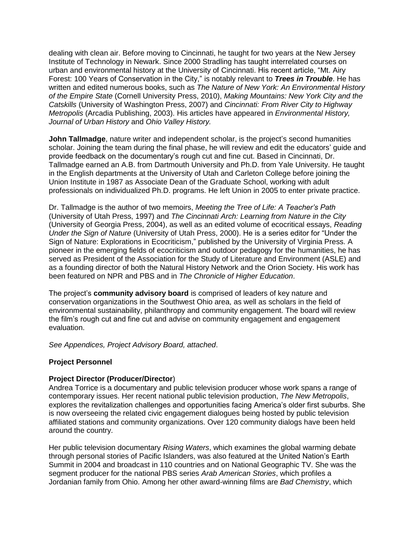dealing with clean air. Before moving to Cincinnati, he taught for two years at the New Jersey Institute of Technology in Newark. Since 2000 Stradling has taught interrelated courses on urban and environmental history at the University of Cincinnati. His recent article, "Mt. Airy Forest: 100 Years of Conservation in the City," is notably relevant to *Trees in Trouble*. He has written and edited numerous books, such as *The Nature of New York: An Environmental History of the Empire State* (Cornell University Press, 2010), *Making Mountains: New York City and the Catskills* (University of Washington Press, 2007) and *Cincinnati: From River City to Highway Metropolis* (Arcadia Publishing, 2003). His articles have appeared in *Environmental History, Journal of Urban History* and *Ohio Valley History.*

**John Tallmadge**, nature writer and independent scholar, is the project's second humanities scholar. Joining the team during the final phase, he will review and edit the educators' guide and provide feedback on the documentary's rough cut and fine cut. Based in Cincinnati, Dr. Tallmadge earned an A.B. from Dartmouth University and Ph.D. from Yale University. He taught in the English departments at the University of Utah and Carleton College before joining the Union Institute in 1987 as Associate Dean of the Graduate School, working with adult professionals on individualized Ph.D. programs. He left Union in 2005 to enter private practice.

Dr. Tallmadge is the author of two memoirs, *Meeting the Tree of Life: A Teacher's Path* (University of Utah Press, 1997) and *The Cincinnati Arch: Learning from Nature in the City* (University of Georgia Press, 2004), as well as an edited volume of ecocritical essays, *Reading Under the Sign of Nature* (University of Utah Press, 2000). He is a series editor for "Under the Sign of Nature: Explorations in Ecocriticism," published by the University of Virginia Press. A pioneer in the emerging fields of ecocriticism and outdoor pedagogy for the humanities, he has served as President of the Association for the Study of Literature and Environment (ASLE) and as a founding director of both the Natural History Network and the Orion Society. His work has been featured on NPR and PBS and in *The Chronicle of Higher Education*.

The project's **community advisory board** is comprised of leaders of key nature and conservation organizations in the Southwest Ohio area, as well as scholars in the field of environmental sustainability, philanthropy and community engagement. The board will review the film's rough cut and fine cut and advise on community engagement and engagement evaluation.

*See Appendices, Project Advisory Board, attached*.

### **Project Personnel**

### **Project Director (Producer/Director**)

Andrea Torrice is a documentary and public television producer whose work spans a range of contemporary issues. Her recent national public television production, *The New Metropolis*, explores the revitalization challenges and opportunities facing America's older first suburbs. She is now overseeing the related civic engagement dialogues being hosted by public television affiliated stations and community organizations. Over 120 community dialogs have been held around the country.

Her public television documentary *Rising Waters*, which examines the global warming debate through personal stories of Pacific Islanders, was also featured at the United Nation's Earth Summit in 2004 and broadcast in 110 countries and on National Geographic TV. She was the segment producer for the national PBS series *Arab American Stories*, which profiles a Jordanian family from Ohio. Among her other award-winning films are *Bad Chemistry*, which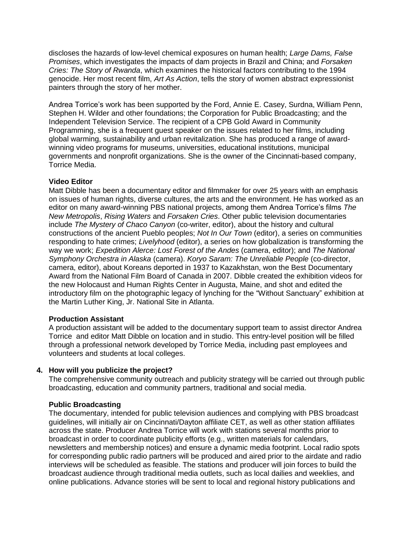discloses the hazards of low-level chemical exposures on human health; *Large Dams, False Promises*, which investigates the impacts of dam projects in Brazil and China; and *Forsaken Cries: The Story of Rwanda*, which examines the historical factors contributing to the 1994 genocide. Her most recent film, *Art As Action*, tells the story of women abstract expressionist painters through the story of her mother.

Andrea Torrice's work has been supported by the Ford, Annie E. Casey, Surdna, William Penn, Stephen H. Wilder and other foundations; the Corporation for Public Broadcasting; and the Independent Television Service. The recipient of a CPB Gold Award in Community Programming, she is a frequent guest speaker on the issues related to her films, including global warming, sustainability and urban revitalization. She has produced a range of awardwinning video programs for museums, universities, educational institutions, municipal governments and nonprofit organizations. She is the owner of the Cincinnati-based company, Torrice Media.

### **Video Editor**

Matt Dibble has been a documentary editor and filmmaker for over 25 years with an emphasis on issues of human rights, diverse cultures, the arts and the environment. He has worked as an editor on many award-winning PBS national projects, among them Andrea Torrice's films *The New Metropolis*, *Rising Waters* and *Forsaken Cries*. Other public television documentaries include *The Mystery of Chaco Canyon* (co-writer, editor), about the history and cultural constructions of the ancient Pueblo peoples; *Not In Our Town* (editor), a series on communities responding to hate crimes; *Livelyhood* (editor), a series on how globalization is transforming the way we work; *Expedition Alerce: Lost Forest of the Andes* (camera, editor); and *The National Symphony Orchestra in Alaska* (camera). *Koryo Saram: The Unreliable People* (co-director, camera, editor), about Koreans deported in 1937 to Kazakhstan, won the Best Documentary Award from the National Film Board of Canada in 2007. Dibble created the exhibition videos for the new Holocaust and Human Rights Center in Augusta, Maine, and shot and edited the introductory film on the photographic legacy of lynching for the "Without Sanctuary" exhibition at the Martin Luther King, Jr. National Site in Atlanta.

### **Production Assistant**

A production assistant will be added to the documentary support team to assist director Andrea Torrice and editor Matt Dibble on location and in studio. This entry-level position will be filled through a professional network developed by Torrice Media, including past employees and volunteers and students at local colleges.

### **4. How will you publicize the project?**

The comprehensive community outreach and publicity strategy will be carried out through public broadcasting, education and community partners, traditional and social media.

#### **Public Broadcasting**

The documentary, intended for public television audiences and complying with PBS broadcast guidelines, will initially air on Cincinnati/Dayton affiliate CET, as well as other station affiliates across the state. Producer Andrea Torrice will work with stations several months prior to broadcast in order to coordinate publicity efforts (e.g., written materials for calendars, newsletters and membership notices) and ensure a dynamic media footprint. Local radio spots for corresponding public radio partners will be produced and aired prior to the airdate and radio interviews will be scheduled as feasible. The stations and producer will join forces to build the broadcast audience through traditional media outlets, such as local dailies and weeklies, and online publications. Advance stories will be sent to local and regional history publications and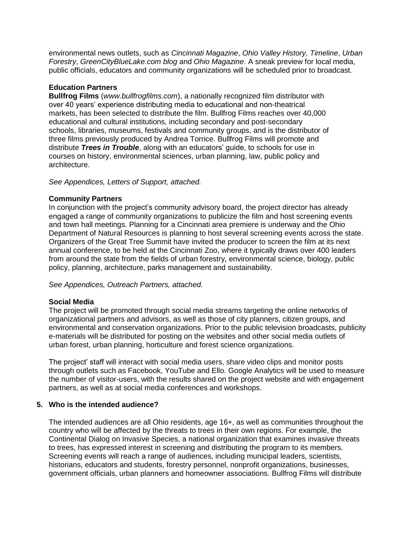environmental news outlets, such as *Cincinnati Magazine*, *Ohio Valley History*, *Timeline*, *Urban Forestry*, *GreenCityBlueLake.com blog* and *Ohio Magazine*. A sneak preview for local media, public officials, educators and community organizations will be scheduled prior to broadcast.

#### **Education Partners**

**Bullfrog Films** (*www.bullfrogfilms.com*), a nationally recognized film distributor with over 40 years' experience distributing media to educational and non-theatrical markets, has been selected to distribute the film. Bullfrog Films reaches over 40,000 educational and cultural institutions, including secondary and post-secondary schools, libraries, museums, festivals and community groups, and is the distributor of three films previously produced by Andrea Torrice. Bullfrog Films will promote and distribute *Trees in Trouble*, along with an educators' guide, to schools for use in courses on history, environmental sciences, urban planning, law, public policy and architecture.

#### *See Appendices, Letters of Support, attached.*

#### **Community Partners**

In conjunction with the project's community advisory board, the project director has already engaged a range of community organizations to publicize the film and host screening events and town hall meetings. Planning for a Cincinnati area premiere is underway and the Ohio Department of Natural Resources is planning to host several screening events across the state. Organizers of the Great Tree Summit have invited the producer to screen the film at its next annual conference, to be held at the Cincinnati Zoo, where it typically draws over 400 leaders from around the state from the fields of urban forestry, environmental science, biology, public policy, planning, architecture, parks management and sustainability.

*See Appendices, Outreach Partners, attached.*

### **Social Media**

The project will be promoted through social media streams targeting the online networks of organizational partners and advisors, as well as those of city planners, citizen groups, and environmental and conservation organizations. Prior to the public television broadcasts, publicity e-materials will be distributed for posting on the websites and other social media outlets of urban forest, urban planning, horticulture and forest science organizations.

The project' staff will interact with social media users, share video clips and monitor posts through outlets such as Facebook, YouTube and Ello. Google Analytics will be used to measure the number of visitor-users, with the results shared on the project website and with engagement partners, as well as at social media conferences and workshops.

#### **5. Who is the intended audience?**

The intended audiences are all Ohio residents, age 16+, as well as communities throughout the country who will be affected by the threats to trees in their own regions. For example, the Continental Dialog on Invasive Species, a national organization that examines invasive threats to trees, has expressed interest in screening and distributing the program to its members. Screening events will reach a range of audiences, including municipal leaders, scientists, historians, educators and students, forestry personnel, nonprofit organizations, businesses, government officials, urban planners and homeowner associations. Bullfrog Films will distribute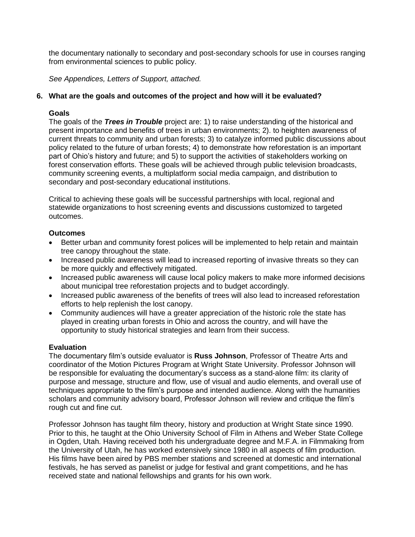the documentary nationally to secondary and post-secondary schools for use in courses ranging from environmental sciences to public policy.

*See Appendices, Letters of Support, attached.*

### **6. What are the goals and outcomes of the project and how will it be evaluated?**

#### **Goals**

The goals of the *Trees in Trouble* project are: 1) to raise understanding of the historical and present importance and benefits of trees in urban environments; 2). to heighten awareness of current threats to community and urban forests; 3) to catalyze informed public discussions about policy related to the future of urban forests; 4) to demonstrate how reforestation is an important part of Ohio's history and future; and 5) to support the activities of stakeholders working on forest conservation efforts. These goals will be achieved through public television broadcasts, community screening events, a multiplatform social media campaign, and distribution to secondary and post-secondary educational institutions.

Critical to achieving these goals will be successful partnerships with local, regional and statewide organizations to host screening events and discussions customized to targeted outcomes.

#### **Outcomes**

- Better urban and community forest polices will be implemented to help retain and maintain tree canopy throughout the state.
- Increased public awareness will lead to increased reporting of invasive threats so they can be more quickly and effectively mitigated.
- Increased public awareness will cause local policy makers to make more informed decisions about municipal tree reforestation projects and to budget accordingly.
- Increased public awareness of the benefits of trees will also lead to increased reforestation efforts to help replenish the lost canopy.
- Community audiences will have a greater appreciation of the historic role the state has played in creating urban forests in Ohio and across the country, and will have the opportunity to study historical strategies and learn from their success.

### **Evaluation**

The documentary film's outside evaluator is **Russ Johnson**, Professor of Theatre Arts and coordinator of the Motion Pictures Program at Wright State University. Professor Johnson will be responsible for evaluating the documentary's success as a stand-alone film: its clarity of purpose and message, structure and flow, use of visual and audio elements, and overall use of techniques appropriate to the film's purpose and intended audience. Along with the humanities scholars and community advisory board, Professor Johnson will review and critique the film's rough cut and fine cut.

Professor Johnson has taught film theory, history and production at Wright State since 1990. Prior to this, he taught at the Ohio University School of Film in Athens and Weber State College in Ogden, Utah. Having received both his undergraduate degree and M.F.A. in Filmmaking from the University of Utah, he has worked extensively since 1980 in all aspects of film production. His films have been aired by PBS member stations and screened at domestic and international festivals, he has served as panelist or judge for festival and grant competitions, and he has received state and national fellowships and grants for his own work.